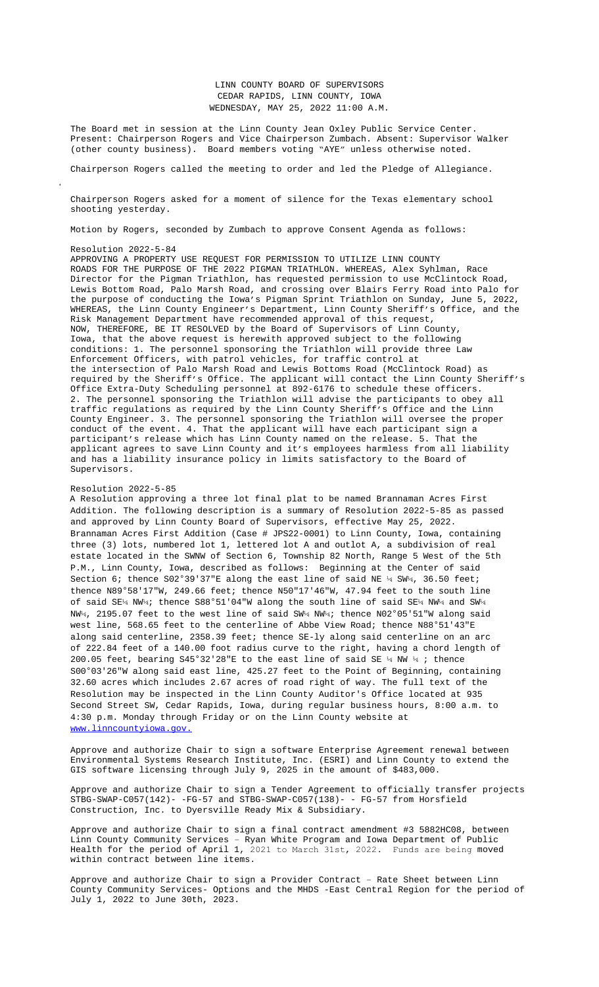$s$ hooting yesterday.

Motion by Rogers, seconded by Zumbach to approve Consent Agenda as follows:

## Resolution 2022-5-84

APPROVING A PROPERTY USE REQUEST FOR PERMISSION TO UTILIZE LINN COUNTY ROADS FOR THE PURPOSE OF THE 2022 PIGMAN TRIATHLON. WHEREAS, Alex Syhlman, Race Director for the Pigman Triathlon, has requested permission to use McClintock Road, Lewis Bottom Road, Palo Marsh Road, and crossing over Blairs Ferry Road into Palo for the purpose of conducting the Iowa's Pigman Sprint Triathlon on Sunday, June 5, 2022, WHEREAS, the Linn County Engineer's Department, Linn County Sheriff's Office, and the Risk Management Department have recommended approval of this request, NOW, THEREFORE, BE IT RESOLVED by the Board of Supervisors of Linn County, Iowa, that the above request is herewith approved subject to the following conditions: 1. The personnel sponsoring the Triathlon will provide three Law Enforcement Officers, with patrol vehicles, for traffic control at the intersection of Palo Marsh Road and Lewis Bottoms Road (McClintock Road) as required by the Sheriff's Office. The applicant will contact the Linn County Sheriff's Office Extra-Duty Scheduling personnel at 892-6176 to schedule these officers. 2. The personnel sponsoring the Triathlon will advise the participants to obey all traffic regulations as required by the Linn County Sheriff's Office and the Linn County Engineer. 3. The personnel sponsoring the Triathlon will oversee the proper conduct of the event. 4. That the applicant will have each participant sign a participant's release which has Linn County named on the release. 5. That the applicant agrees to save Linn County and it's employees harmless from all liability and has a liability insurance policy in limits satisfactory to the Board of Supervisors.

## Resolution 2022-5-85

A Resolution approving a three lot final plat to be named Brannaman Acres First Addition. The following description is a summary of Resolution 2022-5-85 as passed and approved by Linn County Board of Supervisors, effective May 25, 2022. Brannaman Acres First Addition (Case # JPS22-0001) to Linn County, Iowa, containing three (3) lots, numbered lot 1, lettered lot A and outlot A, a subdivision of real estate located in the SWNW of Section 6, Township 82 North, Range 5 West of the 5th P.M., Linn County, Iowa, described as follows: Beginning at the Center of said Section 6; thence S02°39'37"E along the east line of said NE  $\frac{1}{4}$  SW $\frac{1}{4}$ , 36.50 feet; thence N89°58'17"W, 249.66 feet; thence N50"17'46"W, 47.94 feet to the south line of said SE¼ NW¼; thence S88°51'04"W along the south line of said SE¼ NW¼ and SW¼ NW¼, 2195.07 feet to the west line of said SW¼ NW¼; thence N02°05'51"W along said west line, 568.65 feet to the centerline of Abbe View Road; thence N88°51'43"E along said centerline, 2358.39 feet; thence SE-ly along said centerline on an arc of 222.84 feet of a 140.00 foot radius curve to the right, having a chord length of 200.05 feet, bearing S45°32'28"E to the east line of said SE  $\frac{1}{4}$  NW  $\frac{1}{4}$ ; thence S00°03'26"W along said east line, 425.27 feet to the Point of Beginning, containing 32.60 acres which includes 2.67 acres of road right of way. The full text of the Resolution may be inspected in the Linn County Auditor's Office located at 935 Second Street SW, Cedar Rapids, Iowa, during regular business hours, 8:00 a.m. to 4:30 p.m. Monday through Friday or on the Linn County website at www.linncountyiowa.gov.

Approve and authorize Chair to sign a software Enterprise Agreement renewal between Environmental Systems Research Institute, Inc. (ESRI) and Linn County to extend the GIS software licensing through July 9, 2025 in the amount of \$483,000.

Approve and authorize Chair to sign a Tender Agreement to officially transfer projects  $STBG-SWAP-C057(142) - -FG-57$  and  $STBG-SWAP-C057(138) - - FG-57$  from  $Horsfield$ Construction, Inc. to Dyersville Ready Mix & Subsidiary.

Approve and authorize Chair to sign a final contract amendment #3 5882HC08, between Linn County Community Services – Ryan White Program and Iowa Department of Public Health for the period of April 1, 2021 to March 31st, 2022. Funds are being moved within contract between line items.

Approve and authorize Chair to sign a Provider Contract – Rate Sheet between Linn County Community Services- Options and the MHDS -East Central Region for the period of July 1, 2022 to June 30th, 2023.